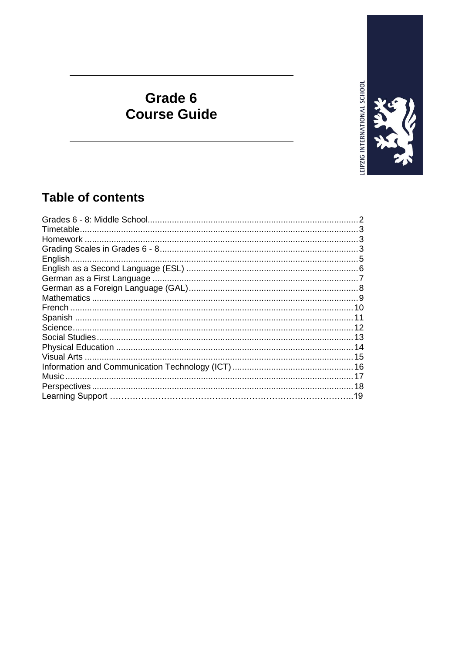

## Grade 6 **Course Guide**

## **Table of contents**

|        | 5 |
|--------|---|
|        |   |
|        |   |
|        |   |
|        |   |
|        |   |
|        |   |
|        |   |
|        |   |
|        |   |
|        |   |
|        |   |
| Music. |   |
|        |   |
|        |   |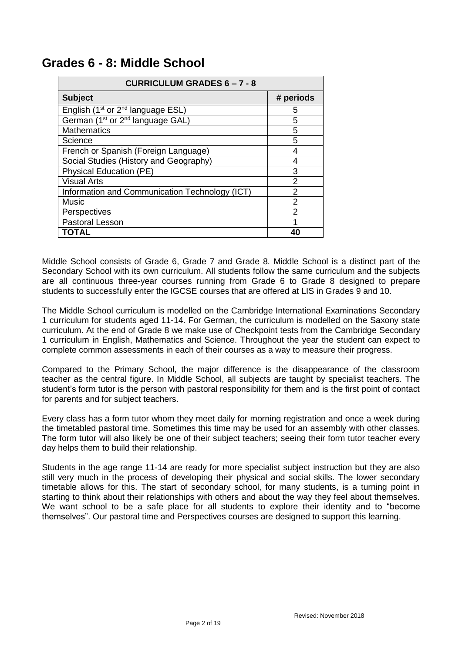| <b>CURRICULUM GRADES 6-7-8</b>                            |                |
|-----------------------------------------------------------|----------------|
| <b>Subject</b>                                            | # periods      |
| English (1 <sup>st</sup> or 2 <sup>nd</sup> language ESL) | 5              |
| German (1 <sup>st</sup> or 2 <sup>nd</sup> language GAL)  | 5              |
| <b>Mathematics</b>                                        | 5              |
| Science                                                   | 5              |
| French or Spanish (Foreign Language)                      | 4              |
| Social Studies (History and Geography)                    | 4              |
| <b>Physical Education (PE)</b>                            | 3              |
| <b>Visual Arts</b>                                        | 2              |
| Information and Communication Technology (ICT)            | $\mathfrak{p}$ |
| Music                                                     | 2              |
| Perspectives                                              | 2              |
| Pastoral Lesson                                           | 1              |
| TOTAL                                                     | 40             |

## **Grades 6 - 8: Middle School**

Middle School consists of Grade 6, Grade 7 and Grade 8. Middle School is a distinct part of the Secondary School with its own curriculum. All students follow the same curriculum and the subjects are all continuous three-year courses running from Grade 6 to Grade 8 designed to prepare students to successfully enter the IGCSE courses that are offered at LIS in Grades 9 and 10.

The Middle School curriculum is modelled on the Cambridge International Examinations Secondary 1 curriculum for students aged 11-14. For German, the curriculum is modelled on the Saxony state curriculum. At the end of Grade 8 we make use of Checkpoint tests from the Cambridge Secondary 1 curriculum in English, Mathematics and Science. Throughout the year the student can expect to complete common assessments in each of their courses as a way to measure their progress.

Compared to the Primary School, the major difference is the disappearance of the classroom teacher as the central figure. In Middle School, all subjects are taught by specialist teachers. The student's form tutor is the person with pastoral responsibility for them and is the first point of contact for parents and for subject teachers.

Every class has a form tutor whom they meet daily for morning registration and once a week during the timetabled pastoral time. Sometimes this time may be used for an assembly with other classes. The form tutor will also likely be one of their subject teachers; seeing their form tutor teacher every day helps them to build their relationship.

Students in the age range 11-14 are ready for more specialist subject instruction but they are also still very much in the process of developing their physical and social skills. The lower secondary timetable allows for this. The start of secondary school, for many students, is a turning point in starting to think about their relationships with others and about the way they feel about themselves. We want school to be a safe place for all students to explore their identity and to "become themselves". Our pastoral time and Perspectives courses are designed to support this learning.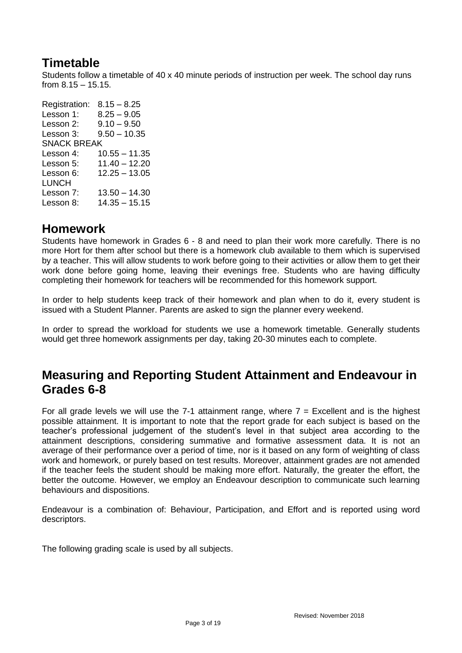## **Timetable**

Students follow a timetable of 40 x 40 minute periods of instruction per week. The school day runs from 8.15 – 15.15.

Registration: 8.15 – 8.25 Lesson 1: 8.25 – 9.05 Lesson 2: 9.10 – 9.50 Lesson 3: 9.50 – 10.35 SNACK BREAK Lesson 4: 10.55 – 11.35 Lesson 5: 11.40 – 12.20 Lesson 6: 12.25 – 13.05 LUNCH Lesson 7: 13.50 – 14.30 Lesson 8: 14.35 – 15.15

## **Homework**

Students have homework in Grades 6 - 8 and need to plan their work more carefully. There is no more Hort for them after school but there is a homework club available to them which is supervised by a teacher. This will allow students to work before going to their activities or allow them to get their work done before going home, leaving their evenings free. Students who are having difficulty completing their homework for teachers will be recommended for this homework support.

In order to help students keep track of their homework and plan when to do it, every student is issued with a Student Planner. Parents are asked to sign the planner every weekend.

In order to spread the workload for students we use a homework timetable. Generally students would get three homework assignments per day, taking 20-30 minutes each to complete.

## **Measuring and Reporting Student Attainment and Endeavour in Grades 6-8**

For all grade levels we will use the  $7-1$  attainment range, where  $7 =$  Excellent and is the highest possible attainment. It is important to note that the report grade for each subject is based on the teacher's professional judgement of the student's level in that subject area according to the attainment descriptions, considering summative and formative assessment data. It is not an average of their performance over a period of time, nor is it based on any form of weighting of class work and homework, or purely based on test results. Moreover, attainment grades are not amended if the teacher feels the student should be making more effort. Naturally, the greater the effort, the better the outcome. However, we employ an Endeavour description to communicate such learning behaviours and dispositions.

Endeavour is a combination of: Behaviour, Participation, and Effort and is reported using word descriptors.

The following grading scale is used by all subjects.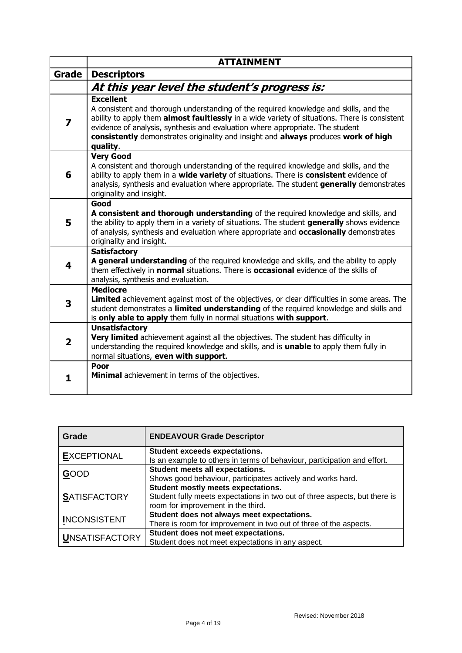|                | <b>ATTAINMENT</b>                                                                                                                                                                                                                                                                                                                                                                                    |
|----------------|------------------------------------------------------------------------------------------------------------------------------------------------------------------------------------------------------------------------------------------------------------------------------------------------------------------------------------------------------------------------------------------------------|
| <b>Grade</b>   | <b>Descriptors</b>                                                                                                                                                                                                                                                                                                                                                                                   |
|                | At this year level the student's progress is:                                                                                                                                                                                                                                                                                                                                                        |
| 7              | <b>Excellent</b><br>A consistent and thorough understanding of the required knowledge and skills, and the<br>ability to apply them <b>almost faultlessly</b> in a wide variety of situations. There is consistent<br>evidence of analysis, synthesis and evaluation where appropriate. The student<br>consistently demonstrates originality and insight and always produces work of high<br>quality. |
| 6              | <b>Very Good</b><br>A consistent and thorough understanding of the required knowledge and skills, and the<br>ability to apply them in a wide variety of situations. There is consistent evidence of<br>analysis, synthesis and evaluation where appropriate. The student generally demonstrates<br>originality and insight.                                                                          |
| 5              | Good<br>A consistent and thorough understanding of the required knowledge and skills, and<br>the ability to apply them in a variety of situations. The student generally shows evidence<br>of analysis, synthesis and evaluation where appropriate and <b>occasionally</b> demonstrates<br>originality and insight.                                                                                  |
| 4              | <b>Satisfactory</b><br>A general understanding of the required knowledge and skills, and the ability to apply<br>them effectively in normal situations. There is occasional evidence of the skills of<br>analysis, synthesis and evaluation.                                                                                                                                                         |
| 3              | <b>Mediocre</b><br>Limited achievement against most of the objectives, or clear difficulties in some areas. The<br>student demonstrates a limited understanding of the required knowledge and skills and<br>is only able to apply them fully in normal situations with support.                                                                                                                      |
| $\overline{2}$ | <b>Unsatisfactory</b><br>Very limited achievement against all the objectives. The student has difficulty in<br>understanding the required knowledge and skills, and is unable to apply them fully in<br>normal situations, even with support.                                                                                                                                                        |
| 1.             | Poor<br>Minimal achievement in terms of the objectives.                                                                                                                                                                                                                                                                                                                                              |

| Grade                 | <b>ENDEAVOUR Grade Descriptor</b>                                          |
|-----------------------|----------------------------------------------------------------------------|
| <b>EXCEPTIONAL</b>    | <b>Student exceeds expectations.</b>                                       |
|                       | Is an example to others in terms of behaviour, participation and effort.   |
|                       | Student meets all expectations.                                            |
| <b>GOOD</b>           | Shows good behaviour, participates actively and works hard.                |
|                       | Student mostly meets expectations.                                         |
| <b>SATISFACTORY</b>   | Student fully meets expectations in two out of three aspects, but there is |
|                       | room for improvement in the third.                                         |
| <b>INCONSISTENT</b>   | Student does not always meet expectations.                                 |
|                       | There is room for improvement in two out of three of the aspects.          |
|                       | Student does not meet expectations.                                        |
| <b>UNSATISFACTORY</b> | Student does not meet expectations in any aspect.                          |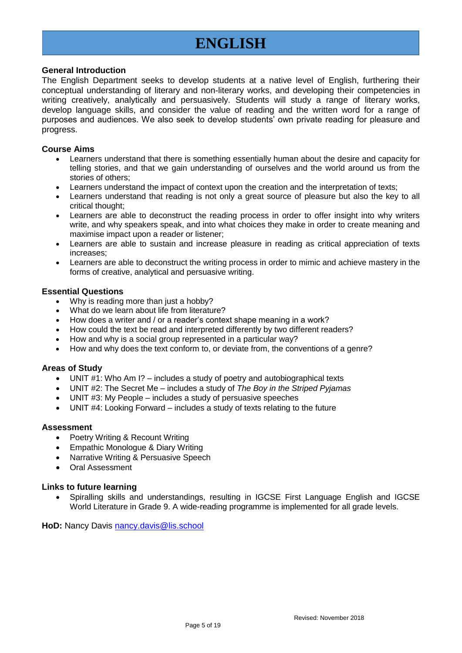## **ENGLISH**

### **General Introduction**

The English Department seeks to develop students at a native level of English, furthering their conceptual understanding of literary and non-literary works, and developing their competencies in writing creatively, analytically and persuasively. Students will study a range of literary works, develop language skills, and consider the value of reading and the written word for a range of purposes and audiences. We also seek to develop students' own private reading for pleasure and progress.

### **Course Aims**

- Learners understand that there is something essentially human about the desire and capacity for telling stories, and that we gain understanding of ourselves and the world around us from the stories of others;
- Learners understand the impact of context upon the creation and the interpretation of texts;
- Learners understand that reading is not only a great source of pleasure but also the key to all critical thought;
- Learners are able to deconstruct the reading process in order to offer insight into why writers write, and why speakers speak, and into what choices they make in order to create meaning and maximise impact upon a reader or listener;
- Learners are able to sustain and increase pleasure in reading as critical appreciation of texts increases;
- Learners are able to deconstruct the writing process in order to mimic and achieve mastery in the forms of creative, analytical and persuasive writing.

### **Essential Questions**

- Why is reading more than just a hobby?
- What do we learn about life from literature?
- How does a writer and / or a reader's context shape meaning in a work?
- How could the text be read and interpreted differently by two different readers?
- How and why is a social group represented in a particular way?
- How and why does the text conform to, or deviate from, the conventions of a genre?

#### **Areas of Study**

- UNIT #1: Who Am I? includes a study of poetry and autobiographical texts
- UNIT #2: The Secret Me includes a study of *The Boy in the Striped Pyjamas*
- UNIT #3: My People includes a study of persuasive speeches
- UNIT #4: Looking Forward includes a study of texts relating to the future

#### **Assessment**

- Poetry Writing & Recount Writing
- Empathic Monologue & Diary Writing
- Narrative Writing & Persuasive Speech
- Oral Assessment

#### **Links to future learning**

 Spiralling skills and understandings, resulting in IGCSE First Language English and IGCSE World Literature in Grade 9. A wide-reading programme is implemented for all grade levels.

**HoD:** Nancy Davis [nancy.davis@lis.school](mailto:nancy.davis@lis.school)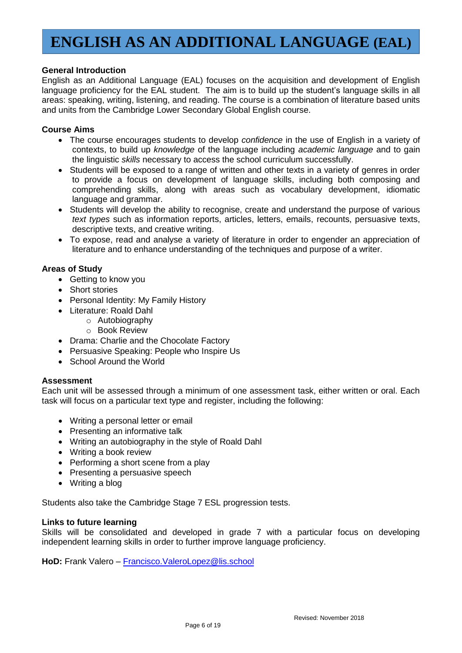# **ENGLISH AS AN ADDITIONAL LANGUAGE (EAL)**

## **General Introduction**

English as an Additional Language (EAL) focuses on the acquisition and development of English language proficiency for the EAL student. The aim is to build up the student's language skills in all areas: speaking, writing, listening, and reading. The course is a combination of literature based units and units from the Cambridge Lower Secondary Global English course.

## **Course Aims**

- The course encourages students to develop *confidence* in the use of English in a variety of contexts, to build up *knowledge* of the language including *academic language* and to gain the linguistic *skills* necessary to access the school curriculum successfully.
- Students will be exposed to a range of written and other texts in a variety of genres in order to provide a focus on development of language skills, including both composing and comprehending skills, along with areas such as vocabulary development, idiomatic language and grammar.
- Students will develop the ability to recognise, create and understand the purpose of various *text types* such as information reports, articles, letters, emails, recounts, persuasive texts, descriptive texts, and creative writing.
- To expose, read and analyse a variety of literature in order to engender an appreciation of literature and to enhance understanding of the techniques and purpose of a writer.

## **Areas of Study**

- Getting to know you
- Short stories
- Personal Identity: My Family History
- Literature: Roald Dahl
	- o Autobiography
		- o Book Review
- Drama: Charlie and the Chocolate Factory
- Persuasive Speaking: People who Inspire Us
- School Around the World

#### **Assessment**

Each unit will be assessed through a minimum of one assessment task, either written or oral. Each task will focus on a particular text type and register, including the following:

- Writing a personal letter or email
- Presenting an informative talk
- Writing an autobiography in the style of Roald Dahl
- Writing a book review
- Performing a short scene from a play
- Presenting a persuasive speech
- Writing a blog

Students also take the Cambridge Stage 7 ESL progression tests.

#### **Links to future learning**

Skills will be consolidated and developed in grade 7 with a particular focus on developing independent learning skills in order to further improve language proficiency.

**HoD:** Frank Valero – [Francisco.ValeroLopez@lis.school](mailto:Francisco.ValeroLopez@lis.school)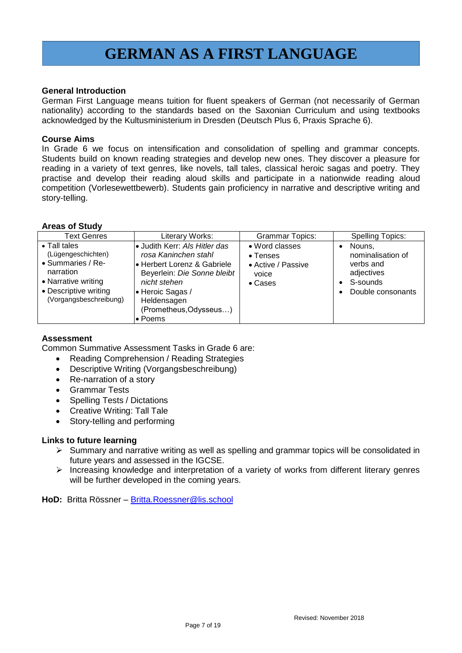## **GERMAN AS A FIRST LANGUAGE**

### **General Introduction**

German First Language means tuition for fluent speakers of German (not necessarily of German nationality) according to the standards based on the Saxonian Curriculum and using textbooks acknowledged by the Kultusministerium in Dresden (Deutsch Plus 6, Praxis Sprache 6).

#### **Course Aims**

In Grade 6 we focus on intensification and consolidation of spelling and grammar concepts. Students build on known reading strategies and develop new ones. They discover a pleasure for reading in a variety of text genres, like novels, tall tales, classical heroic sagas and poetry. They practise and develop their reading aloud skills and participate in a nationwide reading aloud competition (Vorlesewettbewerb). Students gain proficiency in narrative and descriptive writing and story-telling.

## **Areas of Study**

| <b>Text Genres</b>                                                                                                                                     | Literary Works:                                                                                                                                                                                              | <b>Grammar Topics:</b>                                                       | <b>Spelling Topics:</b>                                                                 |
|--------------------------------------------------------------------------------------------------------------------------------------------------------|--------------------------------------------------------------------------------------------------------------------------------------------------------------------------------------------------------------|------------------------------------------------------------------------------|-----------------------------------------------------------------------------------------|
| $\bullet$ Tall tales<br>(Lügengeschichten)<br>• Summaries / Re-<br>narration<br>• Narrative writing<br>• Descriptive writing<br>(Vorgangsbeschreibung) | • Judith Kerr: Als Hitler das<br>rosa Kaninchen stahl<br>l• Herbert Lorenz & Gabriele<br>Beyerlein: Die Sonne bleibt<br>nicht stehen<br>• Heroic Sagas /<br>Heldensagen<br>(Prometheus, Odysseus)<br>• Poems | • Word classes<br>$\bullet$ Tenses<br>• Active / Passive<br>voice<br>• Cases | Nouns.<br>nominalisation of<br>verbs and<br>adjectives<br>S-sounds<br>Double consonants |

### **Assessment**

Common Summative Assessment Tasks in Grade 6 are:

- Reading Comprehension / Reading Strategies
- Descriptive Writing (Vorgangsbeschreibung)
- Re-narration of a story
- Grammar Tests
- Spelling Tests / Dictations
- Creative Writing: Tall Tale
- Story-telling and performing

#### **Links to future learning**

- $\triangleright$  Summary and narrative writing as well as spelling and grammar topics will be consolidated in future years and assessed in the IGCSE.
- $\triangleright$  Increasing knowledge and interpretation of a variety of works from different literary genres will be further developed in the coming years.

**HoD:** Britta Rössner – [Britta.Roessner@lis.school](mailto:Britta.Roessner@lis.school)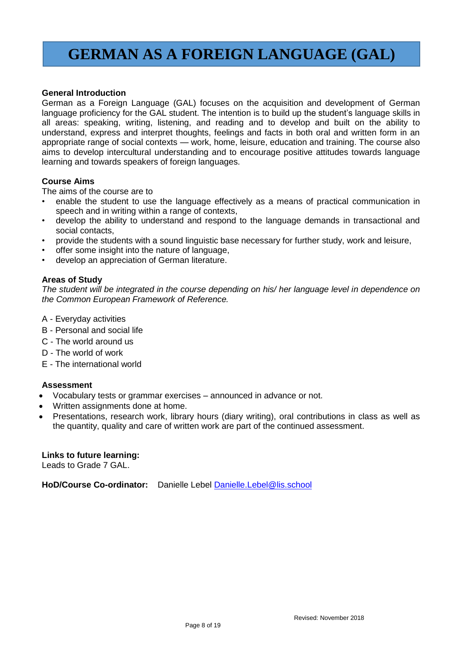## **GERMAN AS A FOREIGN LANGUAGE (GAL)**

## **General Introduction**

German as a Foreign Language (GAL) focuses on the acquisition and development of German language proficiency for the GAL student. The intention is to build up the student's language skills in all areas: speaking, writing, listening, and reading and to develop and built on the ability to understand, express and interpret thoughts, feelings and facts in both oral and written form in an appropriate range of social contexts — work, home, leisure, education and training. The course also aims to develop intercultural understanding and to encourage positive attitudes towards language learning and towards speakers of foreign languages.

### **Course Aims**

The aims of the course are to

- enable the student to use the language effectively as a means of practical communication in speech and in writing within a range of contexts,
- develop the ability to understand and respond to the language demands in transactional and social contacts,
- provide the students with a sound linguistic base necessary for further study, work and leisure,
- offer some insight into the nature of language,
- develop an appreciation of German literature.

### **Areas of Study**

*The student will be integrated in the course depending on his/ her language level in dependence on the Common European Framework of Reference.*

- A Everyday activities
- B Personal and social life
- C The world around us
- D The world of work
- E The international world

#### **Assessment**

- Vocabulary tests or grammar exercises announced in advance or not.
- Written assignments done at home.
- Presentations, research work, library hours (diary writing), oral contributions in class as well as the quantity, quality and care of written work are part of the continued assessment.

#### **Links to future learning:**

Leads to Grade 7 GAL.

**HoD/Course Co-ordinator:** Danielle Lebel [Danielle.Lebel@lis.school](mailto:Danielle.Lebel@lis.school)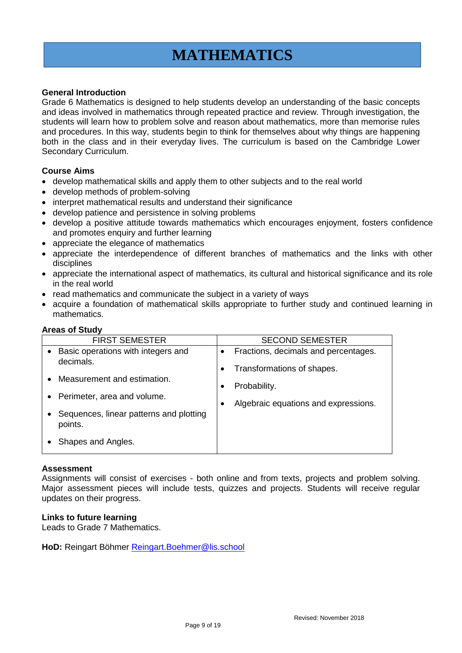## **MATHEMATICS**

## **General Introduction**

Grade 6 Mathematics is designed to help students develop an understanding of the basic concepts and ideas involved in mathematics through repeated practice and review. Through investigation, the students will learn how to problem solve and reason about mathematics, more than memorise rules and procedures. In this way, students begin to think for themselves about why things are happening both in the class and in their everyday lives. The curriculum is based on the Cambridge Lower Secondary Curriculum.

### **Course Aims**

- develop mathematical skills and apply them to other subjects and to the real world
- develop methods of problem-solving
- interpret mathematical results and understand their significance
- develop patience and persistence in solving problems
- develop a positive attitude towards mathematics which encourages enjoyment, fosters confidence and promotes enquiry and further learning
- appreciate the elegance of mathematics
- appreciate the interdependence of different branches of mathematics and the links with other disciplines
- appreciate the international aspect of mathematics, its cultural and historical significance and its role in the real world
- read mathematics and communicate the subject in a variety of ways
- acquire a foundation of mathematical skills appropriate to further study and continued learning in mathematics.

#### **Areas of Study**

|                        | <b>FIRST SEMESTER</b>                                      |           | <b>SECOND SEMESTER</b>                                             |
|------------------------|------------------------------------------------------------|-----------|--------------------------------------------------------------------|
| $\bullet$              | Basic operations with integers and<br>decimals.            |           | Fractions, decimals and percentages.<br>Transformations of shapes. |
| $\bullet$<br>$\bullet$ | Measurement and estimation.<br>Perimeter, area and volume. | $\bullet$ | Probability.<br>Algebraic equations and expressions.               |
| ٠                      | Sequences, linear patterns and plotting<br>points.         |           |                                                                    |
|                        | Shapes and Angles.                                         |           |                                                                    |

#### **Assessment**

Assignments will consist of exercises - both online and from texts, projects and problem solving. Major assessment pieces will include tests, quizzes and projects. Students will receive regular updates on their progress.

#### **Links to future learning**

Leads to Grade 7 Mathematics.

**HoD:** Reingart Böhmer [Reingart.Boehmer@lis.school](mailto:Reingart.Boehmer@lis.school)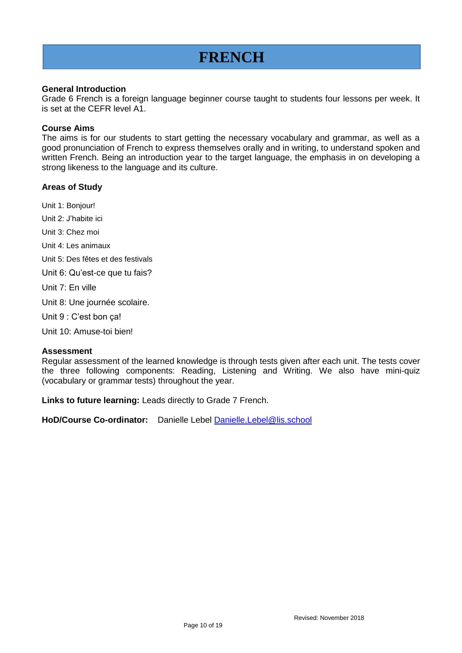## **FRENCH**

## **General Introduction**

Grade 6 French is a foreign language beginner course taught to students four lessons per week. It is set at the CEFR level A1.

## **Course Aims**

The aims is for our students to start getting the necessary vocabulary and grammar, as well as a good pronunciation of French to express themselves orally and in writing, to understand spoken and written French. Being an introduction year to the target language, the emphasis in on developing a strong likeness to the language and its culture.

## **Areas of Study**

Unit 1: Bonjour!

Unit 2: J'habite ici

Unit 3: Chez moi

Unit 4: Les animaux

Unit 5: Des fêtes et des festivals

Unit 6: Qu'est-ce que tu fais?

Unit 7: En ville

Unit 8: Une journée scolaire.

Unit 9 : C'est bon ça!

Unit 10: Amuse-toi bien!

#### **Assessment**

Regular assessment of the learned knowledge is through tests given after each unit. The tests cover the three following components: Reading, Listening and Writing. We also have mini-quiz (vocabulary or grammar tests) throughout the year.

**Links to future learning:** Leads directly to Grade 7 French.

**HoD/Course Co-ordinator:** Danielle Lebel [Danielle.Lebel@lis.school](mailto:Danielle.Lebel@lis.school)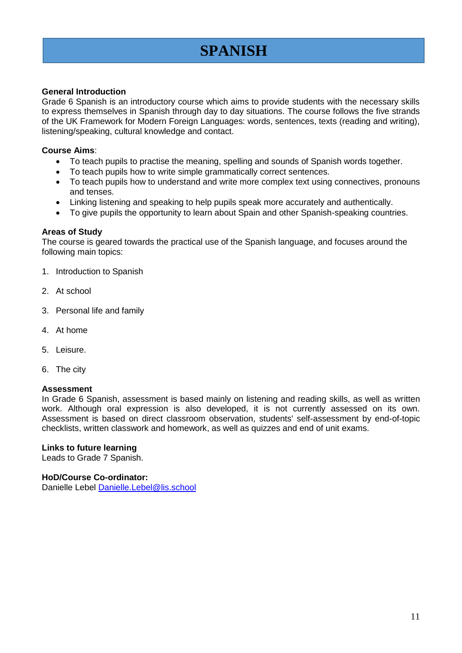# **SPANISH**

## **General Introduction**

Grade 6 Spanish is an introductory course which aims to provide students with the necessary skills to express themselves in Spanish through day to day situations. The course follows the five strands of the UK Framework for Modern Foreign Languages: words, sentences, texts (reading and writing), listening/speaking, cultural knowledge and contact.

## **Course Aims**:

- To teach pupils to practise the meaning, spelling and sounds of Spanish words together.
- To teach pupils how to write simple grammatically correct sentences.
- To teach pupils how to understand and write more complex text using connectives, pronouns and tenses.
- Linking listening and speaking to help pupils speak more accurately and authentically.
- To give pupils the opportunity to learn about Spain and other Spanish-speaking countries.

### **Areas of Study**

The course is geared towards the practical use of the Spanish language, and focuses around the following main topics:

- 1. Introduction to Spanish
- 2. At school
- 3. Personal life and family
- 4. At home
- 5. Leisure.
- 6. The city

#### **Assessment**

In Grade 6 Spanish, assessment is based mainly on listening and reading skills, as well as written work. Although oral expression is also developed, it is not currently assessed on its own. Assessment is based on direct classroom observation, students' self-assessment by end-of-topic checklists, written classwork and homework, as well as quizzes and end of unit exams.

#### **Links to future learning**

Leads to Grade 7 Spanish.

#### **HoD/Course Co-ordinator:**

Danielle Lebel [Danielle.Lebel@lis.school](mailto:Danielle.Lebel@lis.school)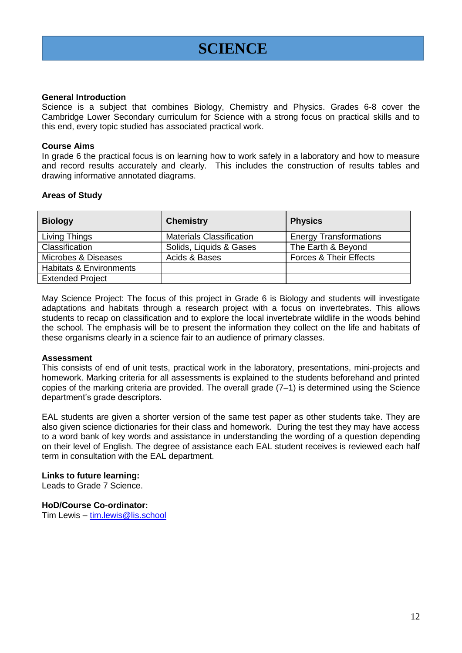## **SCIENCE**

#### **General Introduction**

Science is a subject that combines Biology, Chemistry and Physics. Grades 6-8 cover the Cambridge Lower Secondary curriculum for Science with a strong focus on practical skills and to this end, every topic studied has associated practical work.

### **Course Aims**

In grade 6 the practical focus is on learning how to work safely in a laboratory and how to measure and record results accurately and clearly. This includes the construction of results tables and drawing informative annotated diagrams.

## **Areas of Study**

| <b>Biology</b>                     | <b>Chemistry</b>                | <b>Physics</b>                    |
|------------------------------------|---------------------------------|-----------------------------------|
| Living Things                      | <b>Materials Classification</b> | <b>Energy Transformations</b>     |
| Classification                     | Solids, Liquids & Gases         | The Earth & Beyond                |
| Microbes & Diseases                | Acids & Bases                   | <b>Forces &amp; Their Effects</b> |
| <b>Habitats &amp; Environments</b> |                                 |                                   |
| <b>Extended Project</b>            |                                 |                                   |

May Science Project: The focus of this project in Grade 6 is Biology and students will investigate adaptations and habitats through a research project with a focus on invertebrates. This allows students to recap on classification and to explore the local invertebrate wildlife in the woods behind the school. The emphasis will be to present the information they collect on the life and habitats of these organisms clearly in a science fair to an audience of primary classes.

#### **Assessment**

This consists of end of unit tests, practical work in the laboratory, presentations, mini-projects and homework. Marking criteria for all assessments is explained to the students beforehand and printed copies of the marking criteria are provided. The overall grade (7–1) is determined using the Science department's grade descriptors.

EAL students are given a shorter version of the same test paper as other students take. They are also given science dictionaries for their class and homework. During the test they may have access to a word bank of key words and assistance in understanding the wording of a question depending on their level of English. The degree of assistance each EAL student receives is reviewed each half term in consultation with the EAL department.

#### **Links to future learning:**

Leads to Grade 7 Science.

## **HoD/Course Co-ordinator:**

Tim Lewis – [tim.lewis@lis.school](mailto:tim.lewis@lis.school)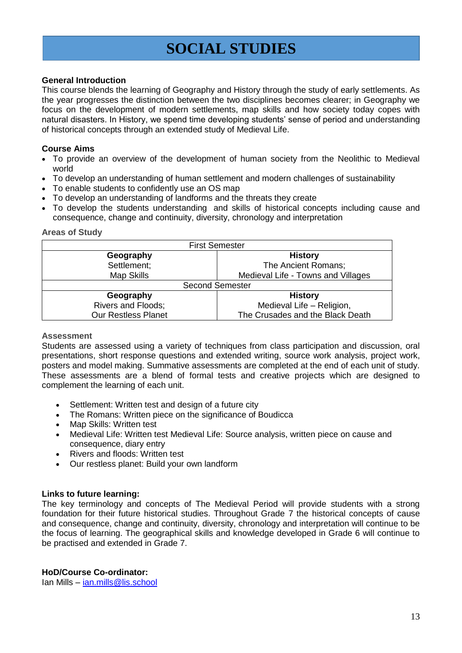## **SOCIAL STUDIES**

## **General Introduction**

This course blends the learning of Geography and History through the study of early settlements. As the year progresses the distinction between the two disciplines becomes clearer; in Geography we focus on the development of modern settlements, map skills and how society today copes with natural disasters. In History, we spend time developing students' sense of period and understanding of historical concepts through an extended study of Medieval Life.

## **Course Aims**

- To provide an overview of the development of human society from the Neolithic to Medieval world
- To develop an understanding of human settlement and modern challenges of sustainability
- To enable students to confidently use an OS map
- To develop an understanding of landforms and the threats they create
- To develop the students understanding and skills of historical concepts including cause and consequence, change and continuity, diversity, chronology and interpretation

### **Areas of Study**

| <b>First Semester</b>      |                                    |  |  |
|----------------------------|------------------------------------|--|--|
| Geography                  | <b>History</b>                     |  |  |
| Settlement;                | The Ancient Romans;                |  |  |
| Map Skills                 | Medieval Life - Towns and Villages |  |  |
| <b>Second Semester</b>     |                                    |  |  |
| Geography                  | <b>History</b>                     |  |  |
| <b>Rivers and Floods;</b>  | Medieval Life - Religion,          |  |  |
| <b>Our Restless Planet</b> | The Crusades and the Black Death   |  |  |

## **Assessment**

Students are assessed using a variety of techniques from class participation and discussion, oral presentations, short response questions and extended writing, source work analysis, project work, posters and model making. Summative assessments are completed at the end of each unit of study. These assessments are a blend of formal tests and creative projects which are designed to complement the learning of each unit.

- Settlement: Written test and design of a future city
- The Romans: Written piece on the significance of Boudicca
- Map Skills: Written test
- Medieval Life: Written test Medieval Life: Source analysis, written piece on cause and consequence, diary entry
- Rivers and floods: Written test
- Our restless planet: Build your own landform

## **Links to future learning:**

The key terminology and concepts of The Medieval Period will provide students with a strong foundation for their future historical studies. Throughout Grade 7 the historical concepts of cause and consequence, change and continuity, diversity, chronology and interpretation will continue to be the focus of learning. The geographical skills and knowledge developed in Grade 6 will continue to be practised and extended in Grade 7.

## **HoD/Course Co-ordinator:**

Ian Mills – [ian.mills@lis.school](mailto:ian.mills@lis.school)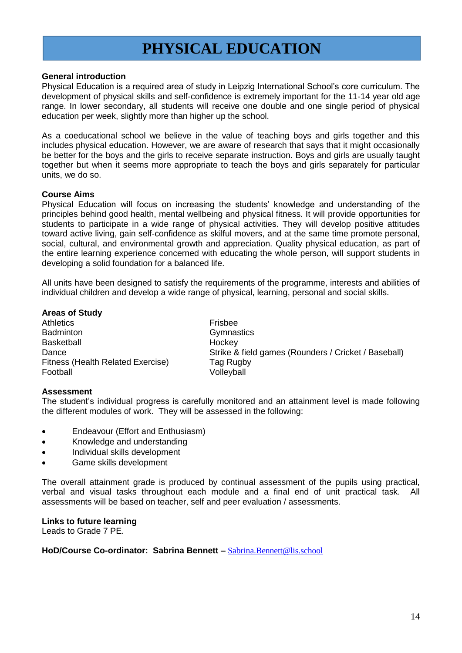## **PHYSICAL EDUCATION**

### **General introduction**

Physical Education is a required area of study in Leipzig International School's core curriculum. The development of physical skills and self-confidence is extremely important for the 11-14 year old age range. In lower secondary, all students will receive one double and one single period of physical education per week, slightly more than higher up the school.

As a coeducational school we believe in the value of teaching boys and girls together and this includes physical education. However, we are aware of research that says that it might occasionally be better for the boys and the girls to receive separate instruction. Boys and girls are usually taught together but when it seems more appropriate to teach the boys and girls separately for particular units, we do so.

#### **Course Aims**

Physical Education will focus on increasing the students' knowledge and understanding of the principles behind good health, mental wellbeing and physical fitness. It will provide opportunities for students to participate in a wide range of physical activities. They will develop positive attitudes toward active living, gain self-confidence as skilful movers, and at the same time promote personal, social, cultural, and environmental growth and appreciation. Quality physical education, as part of the entire learning experience concerned with educating the whole person, will support students in developing a solid foundation for a balanced life.

All units have been designed to satisfy the requirements of the programme, interests and abilities of individual children and develop a wide range of physical, learning, personal and social skills.

#### **Areas of Study**

Athletics **Frishen** Badminton Gymnastics Basketball **Hockey** Fitness (Health Related Exercise) Tag Rugby Football Volleyball

Dance **Strike & field games (Rounders / Cricket / Baseball)** 

#### **Assessment**

The student's individual progress is carefully monitored and an attainment level is made following the different modules of work. They will be assessed in the following:

- Endeavour (Effort and Enthusiasm)
- Knowledge and understanding
- Individual skills development
- Game skills development

The overall attainment grade is produced by continual assessment of the pupils using practical, verbal and visual tasks throughout each module and a final end of unit practical task. All assessments will be based on teacher, self and peer evaluation / assessments.

### **Links to future learning**

Leads to Grade 7 PE.

HoD/Course Co-ordinator: Sabrina Bennett – [Sabrina.Bennett@lis.school](mailto:Sabrina.Bennett@lis.school)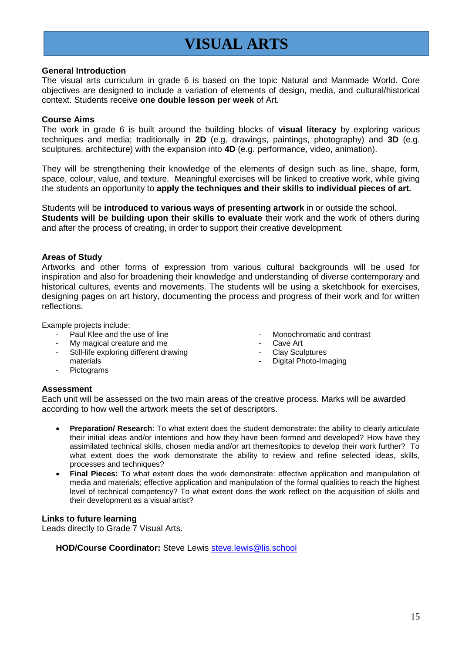# **VISUAL ARTS**

#### **General Introduction**

The visual arts curriculum in grade 6 is based on the topic Natural and Manmade World. Core objectives are designed to include a variation of elements of design, media, and cultural/historical context. Students receive **one double lesson per week** of Art.

### **Course Aims**

The work in grade 6 is built around the building blocks of **visual literacy** by exploring various techniques and media; traditionally in **2D** (e.g. drawings, paintings, photography) and **3D** (e.g. sculptures, architecture) with the expansion into **4D** (e.g. performance, video, animation).

They will be strengthening their knowledge of the elements of design such as line, shape, form, space, colour, value, and texture. Meaningful exercises will be linked to creative work, while giving the students an opportunity to **apply the techniques and their skills to individual pieces of art.** 

Students will be **introduced to various ways of presenting artwork** in or outside the school. **Students will be building upon their skills to evaluate** their work and the work of others during and after the process of creating, in order to support their creative development.

### **Areas of Study**

Artworks and other forms of expression from various cultural backgrounds will be used for inspiration and also for broadening their knowledge and understanding of diverse contemporary and historical cultures, events and movements. The students will be using a sketchbook for exercises, designing pages on art history, documenting the process and progress of their work and for written reflections.

Example projects include:

- Paul Klee and the use of line
- My magical creature and me
- Still-life exploring different drawing materials
- Pictograms
- Monochromatic and contrast
- Cave Art
- Clay Sculptures
- Digital Photo-Imaging

#### **Assessment**

Each unit will be assessed on the two main areas of the creative process. Marks will be awarded according to how well the artwork meets the set of descriptors.

- **Preparation/ Research**: To what extent does the student demonstrate: the ability to clearly articulate their initial ideas and/or intentions and how they have been formed and developed? How have they assimilated technical skills, chosen media and/or art themes/topics to develop their work further? To what extent does the work demonstrate the ability to review and refine selected ideas, skills, processes and techniques?
- **Final Pieces:** To what extent does the work demonstrate: effective application and manipulation of media and materials; effective application and manipulation of the formal qualities to reach the highest level of technical competency? To what extent does the work reflect on the acquisition of skills and their development as a visual artist?

## **Links to future learning**

Leads directly to Grade 7 Visual Arts.

**HOD/Course Coordinator:** Steve Lewis [steve.lewis@lis.school](mailto:steve.lewis@lis.school)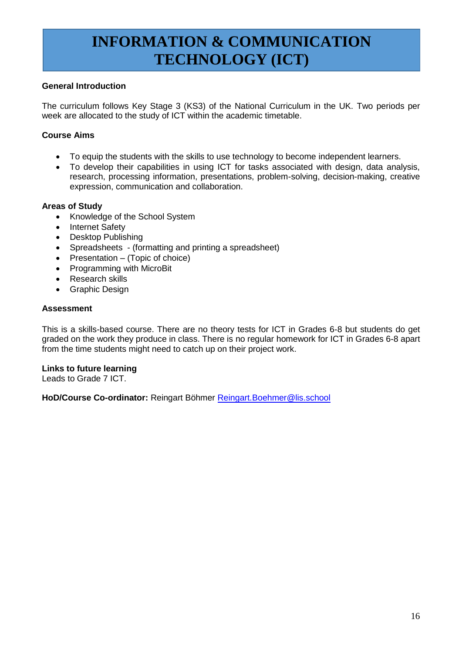# **INFORMATION & COMMUNICATION TECHNOLOGY (ICT)**

## **General Introduction**

The curriculum follows Key Stage 3 (KS3) of the National Curriculum in the UK. Two periods per week are allocated to the study of ICT within the academic timetable.

## **Course Aims**

- To equip the students with the skills to use technology to become independent learners.
- To develop their capabilities in using ICT for tasks associated with design, data analysis, research, processing information, presentations, problem-solving, decision-making, creative expression, communication and collaboration.

## **Areas of Study**

- Knowledge of the School System
- Internet Safety
- Desktop Publishing
- Spreadsheets (formatting and printing a spreadsheet)
- Presentation  $-$  (Topic of choice)
- Programming with MicroBit
- Research skills
- Graphic Design

## **Assessment**

This is a skills-based course. There are no theory tests for ICT in Grades 6-8 but students do get graded on the work they produce in class. There is no regular homework for ICT in Grades 6-8 apart from the time students might need to catch up on their project work.

**Links to future learning** Leads to Grade 7 ICT.

**HoD/Course Co-ordinator:** Reingart Böhmer [Reingart.Boehmer@lis.school](mailto:Reingart.Boehmer@lis.school)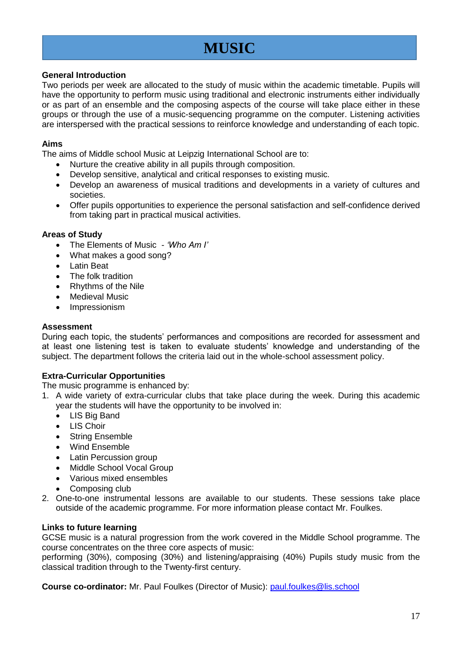## **MUSIC**

## **General Introduction**

Two periods per week are allocated to the study of music within the academic timetable. Pupils will have the opportunity to perform music using traditional and electronic instruments either individually or as part of an ensemble and the composing aspects of the course will take place either in these groups or through the use of a music-sequencing programme on the computer. Listening activities are interspersed with the practical sessions to reinforce knowledge and understanding of each topic.

## **Aims**

The aims of Middle school Music at Leipzig International School are to:

- Nurture the creative ability in all pupils through composition.
- Develop sensitive, analytical and critical responses to existing music.
- Develop an awareness of musical traditions and developments in a variety of cultures and societies.
- Offer pupils opportunities to experience the personal satisfaction and self-confidence derived from taking part in practical musical activities.

## **Areas of Study**

- The Elements of Music *'Who Am I'*
- What makes a good song?
- Latin Beat
- The folk tradition
- Rhythms of the Nile
- Medieval Music
- Impressionism

## **Assessment**

During each topic, the students' performances and compositions are recorded for assessment and at least one listening test is taken to evaluate students' knowledge and understanding of the subject. The department follows the criteria laid out in the whole-school assessment policy.

## **Extra-Curricular Opportunities**

The music programme is enhanced by:

- 1. A wide variety of extra-curricular clubs that take place during the week. During this academic year the students will have the opportunity to be involved in:
	- LIS Big Band
	- LIS Choir
	- String Ensemble
	- Wind Ensemble
	- Latin Percussion group
	- Middle School Vocal Group
	- Various mixed ensembles
	- Composing club
- 2. One-to-one instrumental lessons are available to our students. These sessions take place outside of the academic programme. For more information please contact Mr. Foulkes.

## **Links to future learning**

GCSE music is a natural progression from the work covered in the Middle School programme. The course concentrates on the three core aspects of music:

performing (30%), composing (30%) and listening/appraising (40%) Pupils study music from the classical tradition through to the Twenty-first century.

**Course co-ordinator:** Mr. Paul Foulkes (Director of Music): [paul.foulkes@lis.school](mailto:paul.foulkes@lis.school)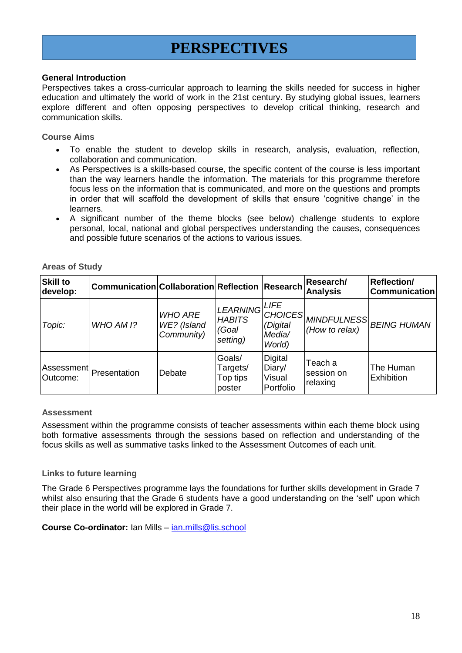## **PERSPECTIVES**

## **General Introduction**

Perspectives takes a cross-curricular approach to learning the skills needed for success in higher education and ultimately the world of work in the 21st century. By studying global issues, learners explore different and often opposing perspectives to develop critical thinking, research and communication skills.

### **Course Aims**

- To enable the student to develop skills in research, analysis, evaluation, reflection, collaboration and communication.
- As Perspectives is a skills-based course, the specific content of the course is less important than the way learners handle the information. The materials for this programme therefore focus less on the information that is communicated, and more on the questions and prompts in order that will scaffold the development of skills that ensure 'cognitive change' in the learners.
- A significant number of the theme blocks (see below) challenge students to explore personal, local, national and global perspectives understanding the causes, consequences and possible future scenarios of the actions to various issues.

| <b>Skill to</b><br>develop: | Communication Collaboration Reflection Research |                                             |                                                     |                                                | <b>Research/</b><br><b>Analysis</b> | <b>Reflection/</b><br><b>Communication</b> |
|-----------------------------|-------------------------------------------------|---------------------------------------------|-----------------------------------------------------|------------------------------------------------|-------------------------------------|--------------------------------------------|
| Topic:                      | WHO AM I?                                       | <b>WHO ARE</b><br>WE? (Island<br>Community) | LEARNING LIFE<br><b>HABITS</b><br>(Goal<br>setting) | <b>CHOICES</b><br>(Digital<br>Media/<br>World) | (How to relax)                      | <b>IMINDFULNESS BEING HUMAN</b>            |
| Outcome:                    | Assessment   Presentation                       | Debate                                      | Goals/<br>Targets/<br>Top tips<br>poster            | Digital<br>Diary/<br>Visual<br>Portfolio       | Teach a<br>session on<br>relaxing   | The Human<br>Exhibition                    |

**Areas of Study** 

#### **Assessment**

Assessment within the programme consists of teacher assessments within each theme block using both formative assessments through the sessions based on reflection and understanding of the focus skills as well as summative tasks linked to the Assessment Outcomes of each unit.

## **Links to future learning**

The Grade 6 Perspectives programme lays the foundations for further skills development in Grade 7 whilst also ensuring that the Grade 6 students have a good understanding on the 'self' upon which their place in the world will be explored in Grade 7.

**Course Co-ordinator:** Ian Mills – [ian.mills@lis.school](mailto:ian.mills@lis.school)